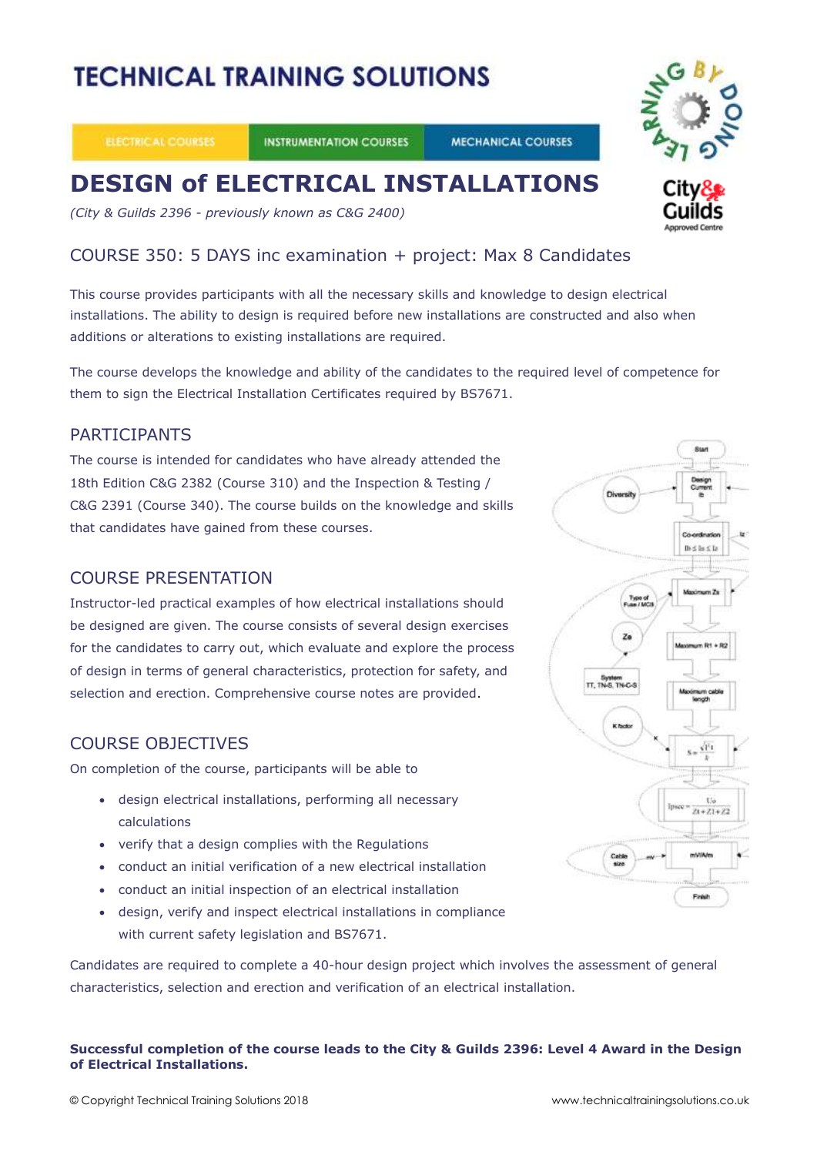# **TECHNICAL TRAINING SOLUTIONS**

**INSTRUMENTATION COURSES** 

#### **MECHANICAL COURSES**

## **DESIGN of ELECTRICAL INSTALLATIONS**

*(City & Guilds 2396 - previously known as C&G 2400)*

#### COURSE 350: 5 DAYS inc examination + project: Max 8 Candidates

This course provides participants with all the necessary skills and knowledge to design electrical installations. The ability to design is required before new installations are constructed and also when additions or alterations to existing installations are required.

The course develops the knowledge and ability of the candidates to the required level of competence for them to sign the Electrical Installation Certificates required by BS7671.

#### PARTICIPANTS

The course is intended for candidates who have already attended the 18th Edition C&G 2382 (Course 310) and the Inspection & Testing / C&G 2391 (Course 340). The course builds on the knowledge and skills that candidates have gained from these courses.

#### COURSE PRESENTATION

Instructor-led practical examples of how electrical installations should be designed are given. The course consists of several design exercises for the candidates to carry out, which evaluate and explore the process of design in terms of general characteristics, protection for safety, and selection and erection. Comprehensive course notes are provided.

#### COURSE OBJECTIVES

On completion of the course, participants will be able to

- design electrical installations, performing all necessary calculations
- verify that a design complies with the Regulations
- conduct an initial verification of a new electrical installation
- conduct an initial inspection of an electrical installation
- design, verify and inspect electrical installations in compliance with current safety legislation and BS7671.

Candidates are required to complete a 40-hour design project which involves the assessment of general characteristics, selection and erection and verification of an electrical installation.

#### **Successful completion of the course leads to the City & Guilds 2396: Level 4 Award in the Design of Electrical Installations.**



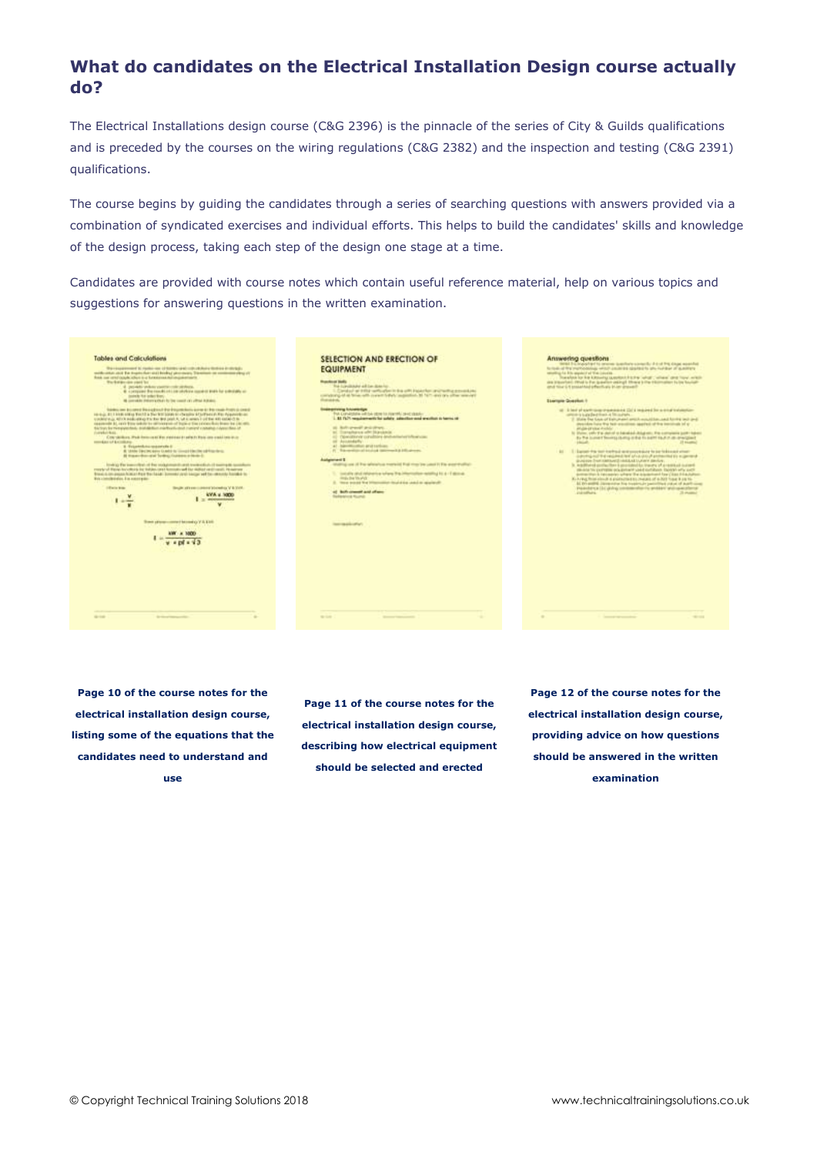### **What do candidates on the Electrical Installation Design course actually do?**

The Electrical Installations design course (C&G 2396) is the pinnacle of the series of City & Guilds qualifications and is preceded by the courses on the wiring regulations (C&G 2382) and the inspection and testing (C&G 2391) qualifications.

The course begins by guiding the candidates through a series of searching questions with answers provided via a combination of syndicated exercises and individual efforts. This helps to build the candidates' skills and knowledge of the design process, taking each step of the design one stage at a time.

Candidates are provided with course notes which contain useful reference material, help on various topics and suggestions for answering questions in the written examination.

| <b>Tables and Calculations</b><br>The a known even of the major case of themes a pair code of July 24 th days in the last to<br>such under also the import of understanding photographs of the materials of<br>from our employees when a c formious stational entrance.<br>War-kamper-door plant fact<br>4 persists when more colours.<br>4 - company the result of Line stylene models total for entertain at-<br>testede for asker free.<br>the convention of the former and the first country of the children in<br>frankling and the collection of the analysis of the collection of the collection of the collection<br>colour, \$1.1 kinds siders for 12 a The Still Linds to changes \$1.5 (Federal Still Property) and<br>considering a which postcolla go the day deal point in Lib consent in oil that with consent to a<br>counteredly. At you're from substitute a settle-program of fracts or time printers fluid determined in the con-<br>Bactions for the propositions, deal-age from marker the deal instrument contrasts in beautiful and<br>Complete Road<br>Conceleidure. Paul Protocosts Was made and the adjust three considerations are<br>members of kindlikers.<br>1 Sylandship manifest.<br>A 1444 Electricians Guido is could blacke of franking.<br>Al traversion and Tentra; Instead or Note 3. | SELECTION AND ERECTION OF<br><b>EQUIPMENT</b><br><b>Russian at lasts</b><br>The Lunchington will be close for-<br>Constant on Within weth after in this with instantial contractive executions.<br>company of at fine with constitutely superfiel. If faith entire offer wearen'<br><b>Burnier</b><br><b>Suderpriving Subdivision</b><br>The convenience will be obtained a reactify of education<br>1. 85 FLPI, requirements for subsity, admitted and smallest in herms of<br>at Automatical charge.<br>at Europhana whiteasants.<br>(c) Operational constitutes destructured from con-<br>of Accambiance<br>AT - harmborder and certified<br>FL. This revolutional intuities intermedial Effications in | Answering guestions<br>1949 Els housing to prevent painting contently if that the close aparchet<br>for loads at the instructionals which couldn't is sparked to give invident of academy.<br>experience for this product of that insurance.<br>Transferê tor livie katolika savedenê biblina "alrat", "allaka" dinê Toral astitêr<br>as insorted. Rhal is the labelist assign three's the titumater tutos hondi-<br>Reserve rack is a make that bakers in an artist<br>Sternum Question 1<br>at it lest of each compressions (SI's request for a comprehensive-<br>company's loans that this is this pump to<br>To these best blues of their present annual expectation, and furnity best of<br>structure have the held enoughless apprint of the test structure of at-<br>attable in what shoulder.<br>In these with the detroit is banaked dring on. The company port-habits<br>the This is colored Newslett charities in this fit is part in a strict and arrangement<br>23 Incentive)<br><b><i>STAGES</i></b><br>41   Lance to serve extra excessor to be followed that<br>control and the regimed law sharehold entertained as a general |
|------------------------------------------------------------------------------------------------------------------------------------------------------------------------------------------------------------------------------------------------------------------------------------------------------------------------------------------------------------------------------------------------------------------------------------------------------------------------------------------------------------------------------------------------------------------------------------------------------------------------------------------------------------------------------------------------------------------------------------------------------------------------------------------------------------------------------------------------------------------------------------------------------------------------------------------------------------------------------------------------------------------------------------------------------------------------------------------------------------------------------------------------------------------------------------------------------------------------------------------------------------------------------------------------------------------------------|------------------------------------------------------------------------------------------------------------------------------------------------------------------------------------------------------------------------------------------------------------------------------------------------------------------------------------------------------------------------------------------------------------------------------------------------------------------------------------------------------------------------------------------------------------------------------------------------------------------------------------------------------------------------------------------------------------|------------------------------------------------------------------------------------------------------------------------------------------------------------------------------------------------------------------------------------------------------------------------------------------------------------------------------------------------------------------------------------------------------------------------------------------------------------------------------------------------------------------------------------------------------------------------------------------------------------------------------------------------------------------------------------------------------------------------------------------------------------------------------------------------------------------------------------------------------------------------------------------------------------------------------------------------------------------------------------------------------------------------------------------------------------------------------------------------------------------------------------------------|
| looking the insecretion of the modulational meet transports of managers successive<br>more of Henri booth is in this case to handle and the Albert rest could be access.<br>Branch on process from a Park Bar Take Torrents your best per well for removed franches by<br>Web controllering from 3 on a second guider-<br><b><i>Inferior looks</i></b><br>Heraldo and a service constructed believed by V & MWA<br><b>KVA x 5000</b><br>T POURMANY<br><b>E</b> de taxa<br>from primary content becoming V-8.1300                                                                                                                                                                                                                                                                                                                                                                                                                                                                                                                                                                                                                                                                                                                                                                                                             | <b>Automobile</b><br>stating on it for should a meteod flat market past it fix exertually.<br>1. Locality and refunerios suffers this information estating bit a 17 domes-<br>ings by MyAVI<br>2. New excess for information deal also used to approved.<br>of Bolly crossed and offered<br><b><i><u>Sedantrical</u></i></b> Round:<br><b><i><u>International Active</u></i></b>                                                                                                                                                                                                                                                                                                                           | SUSEEN-THAT ANTIUNIES HARACHES LUCHER SIMULATION<br>In redationed particulary it provided for tracers of a resistant instant<br>alle detail for pushmann or build market said and shares. Deposits why pretty<br>destroy that is nationalize school that is telephone from close it is a current<br>K-A-rag from elevels a good actual to changes of a 2012 from 8 cm to-<br>All this postfita. Journal over this transitional manufacture of an anti-company<br>inspector on the grands common when the problems produced between<br>and contracts and contracts are the<br>28 showed                                                                                                                                                                                                                                                                                                                                                                                                                                                                                                                                                         |
| <b>Group</b><br>de sinor representato                                                                                                                                                                                                                                                                                                                                                                                                                                                                                                                                                                                                                                                                                                                                                                                                                                                                                                                                                                                                                                                                                                                                                                                                                                                                                        | <b>SILLER</b><br><b>Science Contractor</b>                                                                                                                                                                                                                                                                                                                                                                                                                                                                                                                                                                                                                                                                 | <b>SECURE</b><br>Commercial Commercial Corp.                                                                                                                                                                                                                                                                                                                                                                                                                                                                                                                                                                                                                                                                                                                                                                                                                                                                                                                                                                                                                                                                                                   |

**Page 10 of the course notes for the electrical installation design course, listing some of the equations that the candidates need to understand and use**

**Page 11 of the course notes for the electrical installation design course, describing how electrical equipment should be selected and erected**

**Page 12 of the course notes for the electrical installation design course, providing advice on how questions should be answered in the written examination**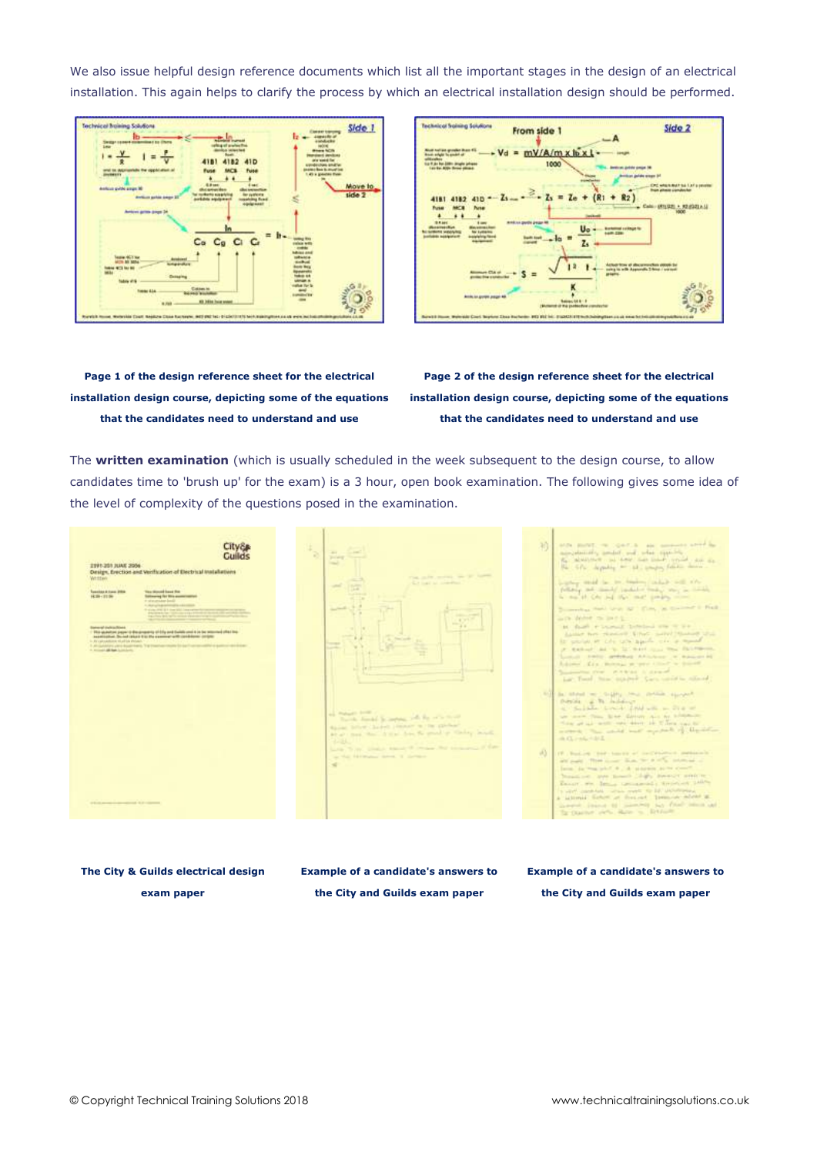We also issue helpful design reference documents which list all the important stages in the design of an electrical installation. This again helps to clarify the process by which an electrical installation design should be performed.





**Page 1 of the design reference sheet for the electrical installation design course, depicting some of the equations that the candidates need to understand and use**

**Page 2 of the design reference sheet for the electrical installation design course, depicting some of the equations that the candidates need to understand and use**

The **written examination** (which is usually scheduled in the week subsequent to the design course, to allow candidates time to 'brush up' for the exam) is a 3 hour, open book examination. The following gives some idea of the level of complexity of the questions posed in the examination.

| 2391-201 JUAN 2006<br>Design, Erection and Verification of Electrical Installations<br><b>Wellstand</b><br>and the first state of the first state.<br>You doned have the<br><b>Supplier &amp; Fake 2004</b><br><b>RESIDENT</b><br><b>Solowing for Mile posteriorital</b><br>10 million and a state for the<br>1. Auto Carrier and Constitution of the American<br>I show that \$11 time \$50 time remains<br>the computation of the product of the product of the state of the secondary<br>Easternal English Street<br>This quantities paper is designagenty of Edip and Eurish unot it in the teleconol offer the<br>assettivened. Do not return it to the examinar with candidates contact:<br>in the categories and additional con-<br>1.41 publishes paid in paintings, The Electron Holley Ed by The monocolity is painted in this line.<br>A Milled McAde Linksheet | $\mathcal{P}_{\mathcal{D}}$<br>and contact the control<br><b>Science Concerned</b><br><b>County</b><br>The cold county we by home<br>\$2 hat at modern<br><b>START</b><br><b>TAB</b><br>ALC: UNK<br><b>Section Street</b><br><b>All and Pro</b><br>$+1$<br>The Condition<br><b>The Company</b><br>-<br>おけ<br>and Walnutt Street<br>The the Annual De matters, with the series to any<br>whose litter change planner is the grow-<br>able) has the free has to good in this work<br>$-1.11$<br>Link Tring, Chairs Mandell change that company's of the<br>the Mail Editorial Arms, 1 Service<br>$\overline{\phantom{a}}$ | atch mont, or contra an amount and in<br>3ň<br>moniphonesty amulate and what experience<br>the admitted and dear that links which are all<br>the life, deputy as at anger facto more-<br>puring small in the biggins industrial will with-<br>follows and mondal conductor traders where an interior<br>in the 15 CAs and that that games comed<br>Tomorrow Hard Lewis All Cons., in Concert & Field<br>mire denne millen till<br>at that ritually behind the wine<br>Assist his reason they said makes the<br>for smilet at the tablisticity was a month<br>or maked as a fathers can be determined<br>London and artistics Africano in Associate<br>Address Line Bolton as a travel child to deposit<br>Summers for P. Chas. I don't<br>Lat. Tool, New Atadeek. Cars cared to Alland<br>And in sheet we have two motion succeed.<br>flutulate and the incidency<br>all College County of the way of the or-<br>up there that have determined by historical<br>thing at an well, out were not it flers can be<br>writed. The state but appeal of the other<br>$-3.45 - 10.0$<br>W.<br>177 . Business (1997) handled of the Catalogue materials in<br>are paid. They could have to it is a serious of<br>lates, in this solid A ; A singless arm could<br>Strauti net three mounts (digh) download write re-<br>Reserve the Bennis commercially dividend paline<br>In work, constitute, which made the Ed. UKNPParka. |
|----------------------------------------------------------------------------------------------------------------------------------------------------------------------------------------------------------------------------------------------------------------------------------------------------------------------------------------------------------------------------------------------------------------------------------------------------------------------------------------------------------------------------------------------------------------------------------------------------------------------------------------------------------------------------------------------------------------------------------------------------------------------------------------------------------------------------------------------------------------------------|-------------------------------------------------------------------------------------------------------------------------------------------------------------------------------------------------------------------------------------------------------------------------------------------------------------------------------------------------------------------------------------------------------------------------------------------------------------------------------------------------------------------------------------------------------------------------------------------------------------------------|-----------------------------------------------------------------------------------------------------------------------------------------------------------------------------------------------------------------------------------------------------------------------------------------------------------------------------------------------------------------------------------------------------------------------------------------------------------------------------------------------------------------------------------------------------------------------------------------------------------------------------------------------------------------------------------------------------------------------------------------------------------------------------------------------------------------------------------------------------------------------------------------------------------------------------------------------------------------------------------------------------------------------------------------------------------------------------------------------------------------------------------------------------------------------------------------------------------------------------------------------------------------------------------------------------------------------------------------------------------------------------------------------------------------------|
| <b>PEOD ANNOUNCEMENT &amp; EXPERIMENT</b>                                                                                                                                                                                                                                                                                                                                                                                                                                                                                                                                                                                                                                                                                                                                                                                                                                  |                                                                                                                                                                                                                                                                                                                                                                                                                                                                                                                                                                                                                         | a alternal fished at fireared. Investor wheat at<br>showed frame at money but that intentional<br>The Charles and a Batter in Bellington                                                                                                                                                                                                                                                                                                                                                                                                                                                                                                                                                                                                                                                                                                                                                                                                                                                                                                                                                                                                                                                                                                                                                                                                                                                                              |

**The City & Guilds electrical design exam paper**

**Example of a candidate's answers to the City and Guilds exam paper**

**Example of a candidate's answers to** 

**the City and Guilds exam paper**